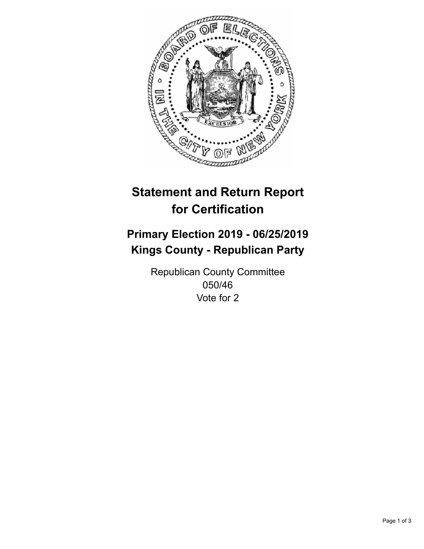

## **Statement and Return Report for Certification**

## **Primary Election 2019 - 06/25/2019 Kings County - Republican Party**

Republican County Committee 050/46 Vote for 2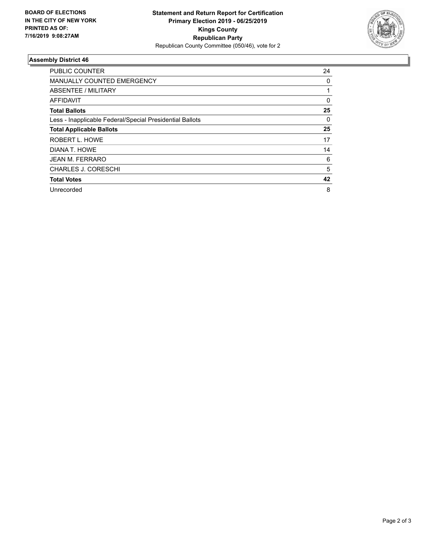

## **Assembly District 46**

| <b>PUBLIC COUNTER</b>                                    | 24       |
|----------------------------------------------------------|----------|
| <b>MANUALLY COUNTED EMERGENCY</b>                        | 0        |
| ABSENTEE / MILITARY                                      |          |
| AFFIDAVIT                                                | $\Omega$ |
| <b>Total Ballots</b>                                     | 25       |
| Less - Inapplicable Federal/Special Presidential Ballots | $\Omega$ |
| <b>Total Applicable Ballots</b>                          | 25       |
| ROBERT L. HOWE                                           | 17       |
| DIANA T. HOWE                                            | 14       |
| <b>JEAN M. FERRARO</b>                                   | 6        |
| <b>CHARLES J. CORESCHI</b>                               | 5        |
| <b>Total Votes</b>                                       | 42       |
| Unrecorded                                               | 8        |